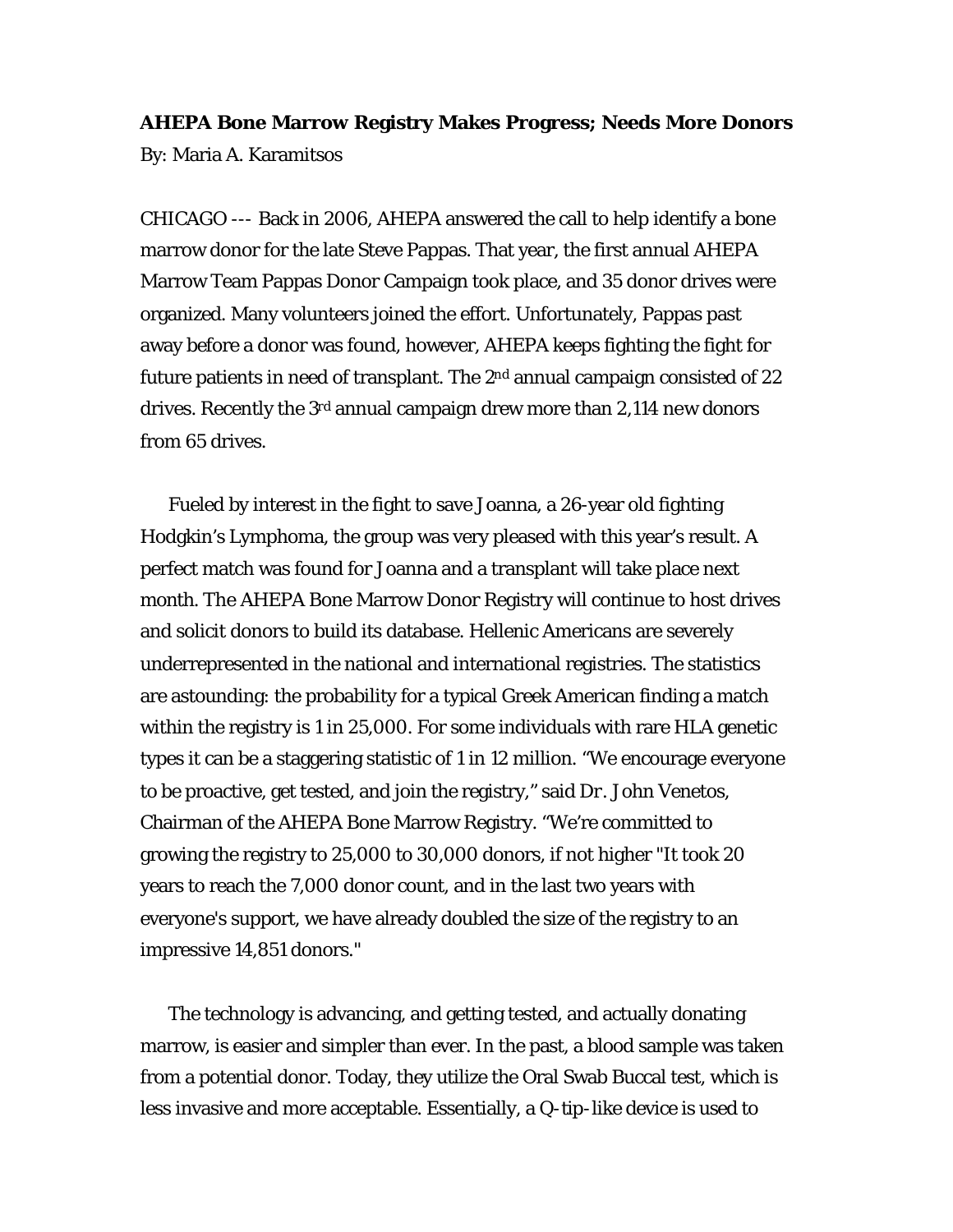**AHEPA Bone Marrow Registry Makes Progress; Needs More Donors** By: Maria A. Karamitsos

CHICAGO --- Back in 2006, AHEPA answered the call to help identify a bone marrow donor for the late Steve Pappas. That year, the first annual AHEPA Marrow Team Pappas Donor Campaign took place, and 35 donor drives were organized. Many volunteers joined the effort. Unfortunately, Pappas past away before a donor was found, however, AHEPA keeps fighting the fight for future patients in need of transplant. The 2<sup>nd</sup> annual campaign consisted of 22 drives. Recently the 3<sup>rd</sup> annual campaign drew more than 2,114 new donors from 65 drives.

Fueled by interest in the fight to save Joanna, a 26-year old fighting Hodgkin's Lymphoma, the group was very pleased with this year's result. A perfect match was found for Joanna and a transplant will take place next month. The AHEPA Bone Marrow Donor Registry will continue to host drives and solicit donors to build its database. Hellenic Americans are severely underrepresented in the national and international registries. The statistics are astounding: the probability for a typical Greek American finding a match within the registry is 1 in 25,000. For some individuals with rare HLA genetic types it can be a staggering statistic of 1 in 12 million. "We encourage everyone to be proactive, get tested, and join the registry," said Dr. John Venetos, Chairman of the AHEPA Bone Marrow Registry. "We're committed to growing the registry to 25,000 to 30,000 donors, if not higher "It took 20 years to reach the 7,000 donor count, and in the last two years with everyone's support, we have already doubled the size of the registry to an impressive 14,851 donors."

The technology is advancing, and getting tested, and actually donating marrow, is easier and simpler than ever. In the past, a blood sample was taken from a potential donor. Today, they utilize the Oral Swab Buccal test, which is less invasive and more acceptable. Essentially, a Q-tip-like device is used to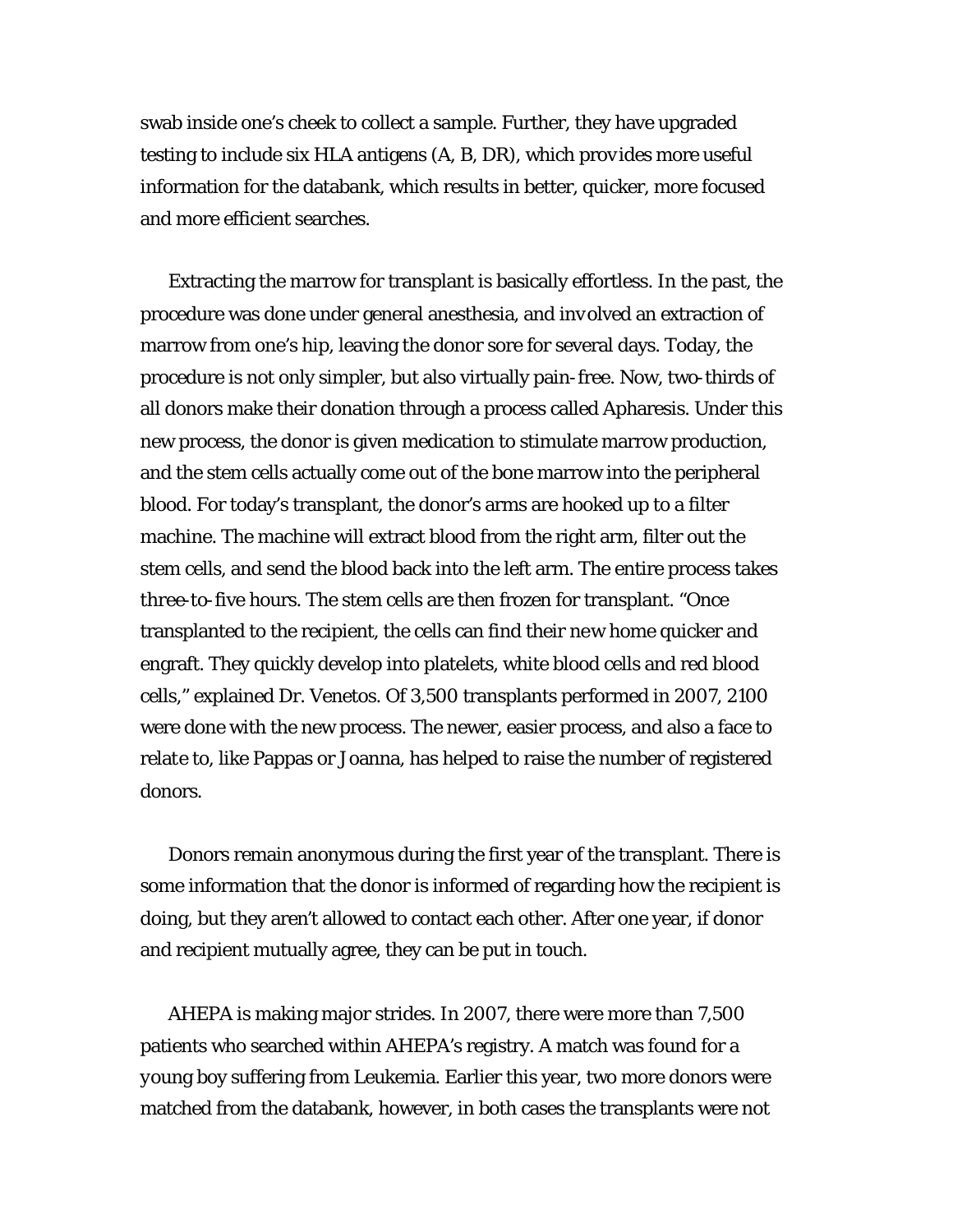swab inside one's cheek to collect a sample. Further, they have upgraded testing to include six HLA antigens (A, B, DR), which provides more useful information for the databank, which results in better, quicker, more focused and more efficient searches.

Extracting the marrow for transplant is basically effortless. In the past, the procedure was done under general anesthesia, and involved an extraction of marrow from one's hip, leaving the donor sore for several days. Today, the procedure is not only simpler, but also virtually pain-free. Now, two-thirds of all donors make their donation through a process called Apharesis. Under this new process, the donor is given medication to stimulate marrow production, and the stem cells actually come out of the bone marrow into the peripheral blood. For today's transplant, the donor's arms are hooked up to a filter machine. The machine will extract blood from the right arm, filter out the stem cells, and send the blood back into the left arm. The entire process takes three-to-five hours. The stem cells are then frozen for transplant. "Once transplanted to the recipient, the cells can find their new home quicker and engraft. They quickly develop into platelets, white blood cells and red blood cells," explained Dr. Venetos. Of 3,500 transplants performed in 2007, 2100 were done with the new process. The newer, easier process, and also a face to relate to, like Pappas or Joanna, has helped to raise the number of registered donors.

Donors remain anonymous during the first year of the transplant. There is some information that the donor is informed of regarding how the recipient is doing, but they aren't allowed to contact each other. After one year, if donor and recipient mutually agree, they can be put in touch.

AHEPA is making major strides. In 2007, there were more than 7,500 patients who searched within AHEPA's registry. A match was found for a young boy suffering from Leukemia. Earlier this year, two more donors were matched from the databank, however, in both cases the transplants were not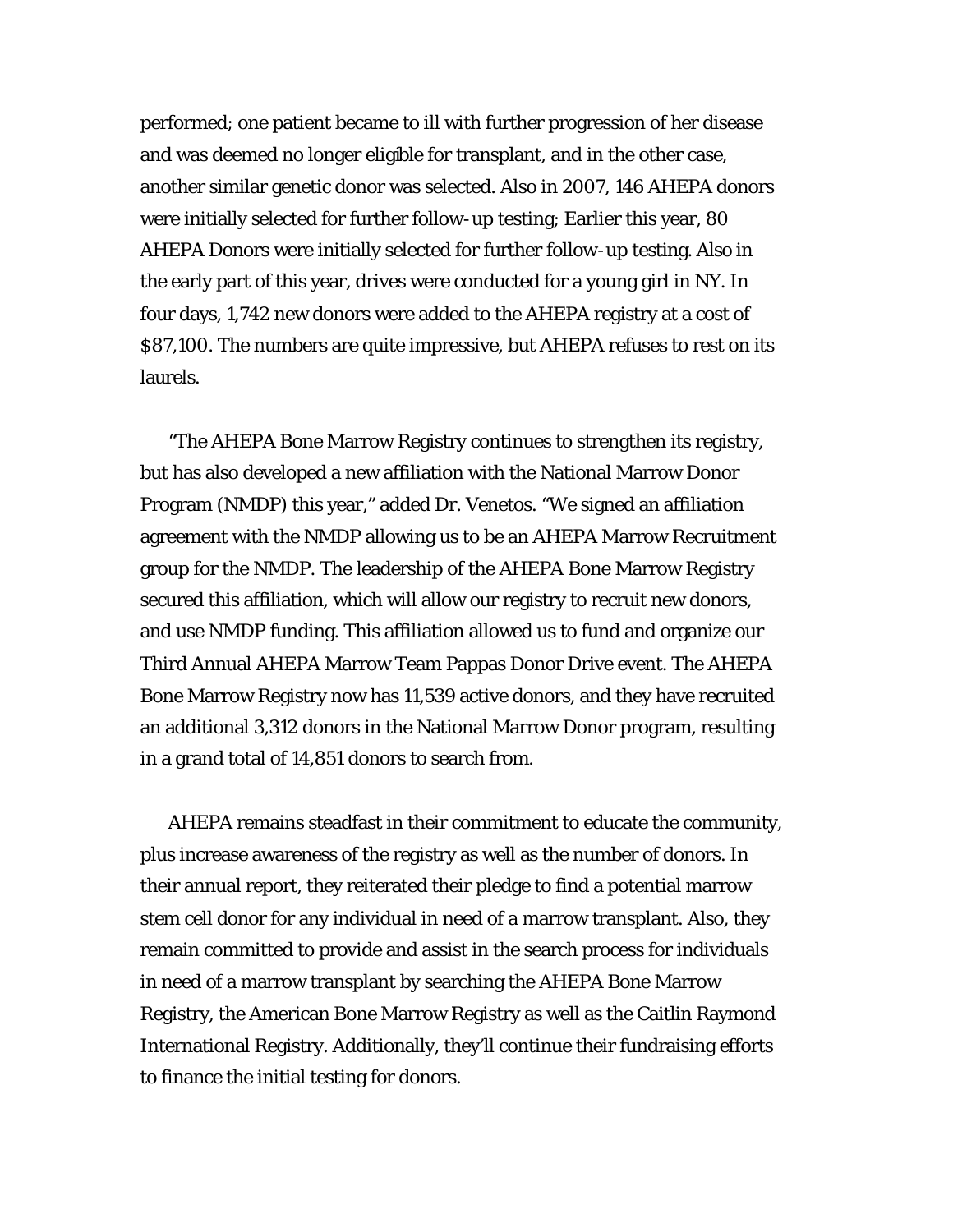performed; one patient became to ill with further progression of her disease and was deemed no longer eligible for transplant, and in the other case, another similar genetic donor was selected. Also in 2007, 146 AHEPA donors were initially selected for further follow-up testing; Earlier this year, 80 AHEPA Donors were initially selected for further follow-up testing. Also in the early part of this year, drives were conducted for a young girl in NY. In four days, 1,742 new donors were added to the AHEPA registry at a cost of \$87,100. The numbers are quite impressive, but AHEPA refuses to rest on its laurels.

"The AHEPA Bone Marrow Registry continues to strengthen its registry, but has also developed a new affiliation with the National Marrow Donor Program (NMDP) this year," added Dr. Venetos. "We signed an affiliation agreement with the NMDP allowing us to be an AHEPA Marrow Recruitment group for the NMDP. The leadership of the AHEPA Bone Marrow Registry secured this affiliation, which will allow our registry to recruit new donors, and use NMDP funding. This affiliation allowed us to fund and organize our Third Annual AHEPA Marrow Team Pappas Donor Drive event. The AHEPA Bone Marrow Registry now has 11,539 active donors, and they have recruited an additional 3,312 donors in the National Marrow Donor program, resulting in a grand total of 14,851 donors to search from.

AHEPA remains steadfast in their commitment to educate the community, plus increase awareness of the registry as well as the number of donors. In their annual report, they reiterated their pledge to find a potential marrow stem cell donor for any individual in need of a marrow transplant. Also, they remain committed to provide and assist in the search process for individuals in need of a marrow transplant by searching the AHEPA Bone Marrow Registry, the American Bone Marrow Registry as well as the Caitlin Raymond International Registry. Additionally, they'll continue their fundraising efforts to finance the initial testing for donors.